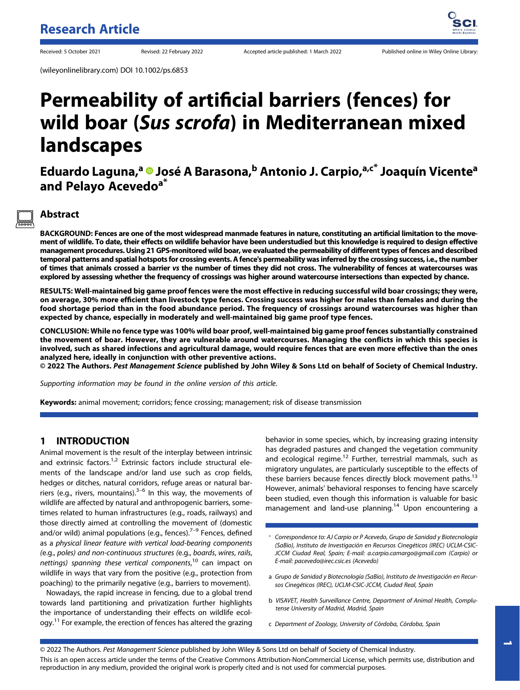(wileyonlinelibrary.com) DOI 10.1002/ps.6853

# Permeability of artificial barriers (fences) for wild boar (Sus scrofa) in Mediterranean mixed landscapes

Eduardo Laguna,<sup>a</sup> <sup>D</sup> José A Barasona,<sup>b</sup> Antonio J. Carpio,<sup>a,c\*</sup> Joaquín Vicente<sup>a</sup> and Pelayo Acevedo<sup>a\*</sup>

# Abstract

BACKGROUND: Fences are one of the most widespread manmade features in nature, constituting an artificial limitation to the movement of wildlife. To date, their effects on wildlife behavior have been understudied but this knowledge is required to design effective management procedures. Using 21 GPS-monitored wild boar, we evaluated the permeability of different types of fences and described temporal patterns and spatial hotspots for crossing events. A fence's permeability was inferred by the crossing success, i.e., the number of times that animals crossed a barrier vs the number of times they did not cross. The vulnerability of fences at watercourses was explored by assessing whether the frequency of crossings was higher around watercourse intersections than expected by chance.

RESULTS: Well-maintained big game proof fences were the most effective in reducing successful wild boar crossings; they were, on average, 30% more efficient than livestock type fences. Crossing success was higher for males than females and during the food shortage period than in the food abundance period. The frequency of crossings around watercourses was higher than expected by chance, especially in moderately and well-maintained big game proof type fences.

CONCLUSION: While no fence type was 100% wild boar proof, well-maintained big game proof fences substantially constrained the movement of boar. However, they are vulnerable around watercourses. Managing the conflicts in which this species is involved, such as shared infections and agricultural damage, would require fences that are even more effective than the ones analyzed here, ideally in conjunction with other preventive actions.

© 2022 The Authors. Pest Management Science published by John Wiley & Sons Ltd on behalf of Society of Chemical Industry.

Supporting information may be found in the online version of this article.

Keywords: animal movement; corridors; fence crossing; management; risk of disease transmission

## 1 INTRODUCTION

Animal movement is the result of the interplay between intrinsic and extrinsic factors.<sup>1,2</sup> Extrinsic factors include structural elements of the landscape and/or land use such as crop fields, hedges or ditches, natural corridors, refuge areas or natural barriers (e.g., rivers, mountains). $3-6$  In this way, the movements of wildlife are affected by natural and anthropogenic barriers, sometimes related to human infrastructures (e.g., roads, railways) and those directly aimed at controlling the movement of (domestic and/or wild) animal populations (e.g., fences). $7-9$  Fences, defined as a physical linear feature with vertical load-bearing components (e.g., poles) and non-continuous structures (e.g., boards, wires, rails, nettings) spanning these vertical components,<sup>10</sup> can impact on wildlife in ways that vary from the positive (e.g., protection from poaching) to the primarily negative (e.g., barriers to movement).

Nowadays, the rapid increase in fencing, due to a global trend towards land partitioning and privatization further highlights the importance of understanding their effects on wildlife ecology.<sup>11</sup> For example, the erection of fences has altered the grazing behavior in some species, which, by increasing grazing intensity has degraded pastures and changed the vegetation community and ecological regime.<sup>12</sup> Further, terrestrial mammals, such as migratory ungulates, are particularly susceptible to the effects of these barriers because fences directly block movement paths.<sup>13</sup> However, animals' behavioral responses to fencing have scarcely been studied, even though this information is valuable for basic management and land-use planning.<sup>14</sup> Upon encountering a

- a Grupo de Sanidad y Biotecnología (SaBio), Instituto de Investigación en Recursos Cinegéticos (IREC), UCLM-CSIC-JCCM, Ciudad Real, Spain
- b VISAVET, Health Surveillance Centre, Department of Animal Health, Complutense University of Madrid, Madrid, Spain

 $\overline{\phantom{a}}$ 

c Department of Zoology, University of Córdoba, Córdoba, Spain

© 2022 The Authors. Pest Management Science published by John Wiley & Sons Ltd on behalf of Society of Chemical Industry.

This is an open access article under the terms of the [Creative Commons Attribution-NonCommercial](http://creativecommons.org/licenses/by-nc/4.0/) License, which permits use, distribution and reproduction in any medium, provided the original work is properly cited and is not used for commercial purposes.

Correspondence to: AJ Carpio or P Acevedo, Grupo de Sanidad y Biotecnología (SaBio), Instituto de Investigación en Recursos Cinegéticos (IREC) UCLM-CSIC-JCCM Ciudad Real, Spain; E-mail: [a.carpio.camargo@gmail.com](mailto:a.carpio.camargo@gmail.com) (Carpio) or E-mail: [pacevedo@irec.csic.es](mailto:pacevedo@irec.csic.es) (Acevedo)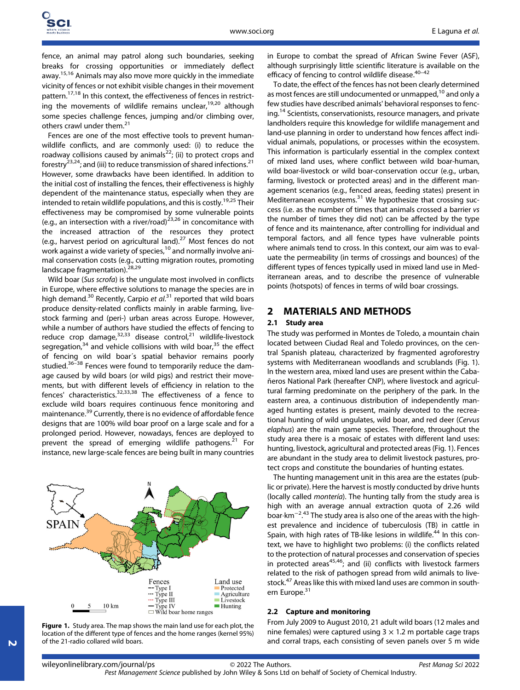fence, an animal may patrol along such boundaries, seeking breaks for crossing opportunities or immediately deflect away.<sup>15,16</sup> Animals may also move more quickly in the immediate vicinity of fences or not exhibit visible changes in their movement pattern.17,18 In this context, the effectiveness of fences in restricting the movements of wildlife remains unclear,  $19,20$  although some species challenge fences, jumping and/or climbing over, others crawl under them.<sup>21</sup>

Fences are one of the most effective tools to prevent humanwildlife conflicts, and are commonly used: (i) to reduce the roadway collisions caused by animals<sup>22</sup>; (ii) to protect crops and forestry<sup>23,24</sup>; and (iii) to reduce transmission of shared infections.<sup>21</sup> However, some drawbacks have been identified. In addition to the initial cost of installing the fences, their effectiveness is highly dependent of the maintenance status, especially when they are intended to retain wildlife populations, and this is costly.<sup>19,25</sup> Their effectiveness may be compromised by some vulnerable points (e.g., an intersection with a river/road) $^{23,26}$  in concomitance with the increased attraction of the resources they protect (e.g., harvest period on agricultural land).<sup>27</sup> Most fences do not work against a wide variety of species,  $10$  and normally involve animal conservation costs (e.g., cutting migration routes, promoting landscape fragmentation).<sup>28,29</sup>

Wild boar (Sus scrofa) is the ungulate most involved in conflicts in Europe, where effective solutions to manage the species are in high demand.<sup>30</sup> Recently, Carpio et al.<sup>31</sup> reported that wild boars produce density-related conflicts mainly in arable farming, livestock farming and (peri-) urban areas across Europe. However, while a number of authors have studied the effects of fencing to reduce crop damage, $32,33$  disease control, $21$  wildlife-livestock segregation, $34$  and vehicle collisions with wild boar, $35$  the effect of fencing on wild boar´s spatial behavior remains poorly studied.<sup>36–38</sup> Fences were found to temporarily reduce the damage caused by wild boars (or wild pigs) and restrict their movements, but with different levels of efficiency in relation to the fences' characteristics.<sup>32,33,38</sup> The effectiveness of a fence to exclude wild boars requires continuous fence monitoring and maintenance.<sup>39</sup> Currently, there is no evidence of affordable fence designs that are 100% wild boar proof on a large scale and for a prolonged period. However, nowadays, fences are deployed to prevent the spread of emerging wildlife pathogens.<sup>21</sup> For instance, new large-scale fences are being built in many countries



Figure 1. Study area. The map shows the main land use for each plot, the location of the different type of fences and the home ranges (kernel 95%) of the 21-radio collared wild boars.

in Europe to combat the spread of African Swine Fever (ASF), although surprisingly little scientific literature is available on the efficacy of fencing to control wildlife disease.<sup>40-42</sup>

To date, the effect of the fences has not been clearly determined as most fences are still undocumented or unmapped,<sup>10</sup> and only a few studies have described animals' behavioral responses to fencing.<sup>14</sup> Scientists, conservationists, resource managers, and private landholders require this knowledge for wildlife management and land-use planning in order to understand how fences affect individual animals, populations, or processes within the ecosystem. This information is particularly essential in the complex context of mixed land uses, where conflict between wild boar-human, wild boar-livestock or wild boar-conservation occur (e.g., urban, farming, livestock or protected areas) and in the different management scenarios (e.g., fenced areas, feeding states) present in Mediterranean ecosystems. $31$  We hypothesize that crossing success (i.e. as the number of times that animals crossed a barrier vs the number of times they did not) can be affected by the type of fence and its maintenance, after controlling for individual and temporal factors, and all fence types have vulnerable points where animals tend to cross. In this context, our aim was to evaluate the permeability (in terms of crossings and bounces) of the different types of fences typically used in mixed land use in Mediterranean areas, and to describe the presence of vulnerable points (hotspots) of fences in terms of wild boar crossings.

## 2 MATERIALS AND METHODS

#### 2.1 Study area

The study was performed in Montes de Toledo, a mountain chain located between Ciudad Real and Toledo provinces, on the central Spanish plateau, characterized by fragmented agroforestry systems with Mediterranean woodlands and scrublands (Fig. 1). In the western area, mixed land uses are present within the Cabañeros National Park (hereafter CNP), where livestock and agricultural farming predominate on the periphery of the park. In the eastern area, a continuous distribution of independently managed hunting estates is present, mainly devoted to the recreational hunting of wild ungulates, wild boar, and red deer (Cervus elaphus) are the main game species. Therefore, throughout the study area there is a mosaic of estates with different land uses: hunting, livestock, agricultural and protected areas (Fig. 1). Fences are abundant in the study area to delimit livestock pastures, protect crops and constitute the boundaries of hunting estates.

The hunting management unit in this area are the estates (public or private). Here the harvest is mostly conducted by drive hunts (locally called montería). The hunting tally from the study area is high with an average annual extraction quota of 2.26 wild boar·km−<sup>2</sup> <sup>43</sup> The study area is also one of the areas with the high-. est prevalence and incidence of tuberculosis (TB) in cattle in Spain, with high rates of TB-like lesions in wildlife.<sup>44</sup> In this context, we have to highlight two problems: (i) the conflicts related to the protection of natural processes and conservation of species in protected areas $45,46$ ; and (ii) conflicts with livestock farmers related to the risk of pathogen spread from wild animals to livestock.<sup>47</sup> Areas like this with mixed land uses are common in southern Europe.<sup>31</sup>

#### 2.2 Capture and monitoring

From July 2009 to August 2010, 21 adult wild boars (12 males and nine females) were captured using  $3 \times 1.2$  m portable cage traps and corral traps, each consisting of seven panels over 5 m wide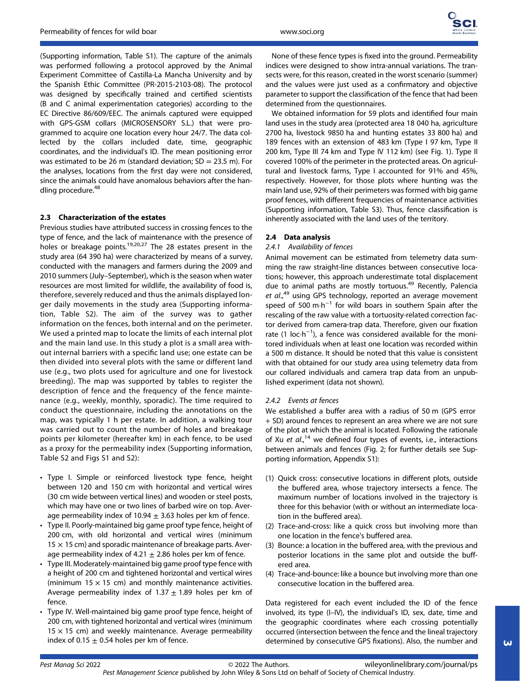(Supporting information, Table S1). The capture of the animals was performed following a protocol approved by the Animal Experiment Committee of Castilla-La Mancha University and by the Spanish Ethic Committee (PR-2015-2103-08). The protocol was designed by specifically trained and certified scientists (B and C animal experimentation categories) according to the EC Directive 86/609/EEC. The animals captured were equipped with GPS-GSM collars (MICROSENSORY S.L.) that were programmed to acquire one location every hour 24/7. The data collected by the collars included date, time, geographic coordinates, and the individual's ID. The mean positioning error was estimated to be 26 m (standard deviation;  $SD = 23.5$  m). For the analyses, locations from the first day were not considered, since the animals could have anomalous behaviors after the handling procedure.<sup>48</sup>

# 2.3 Characterization of the estates

Previous studies have attributed success in crossing fences to the type of fence, and the lack of maintenance with the presence of holes or breakage points.19,20,27 The 28 estates present in the study area (64 390 ha) were characterized by means of a survey, conducted with the managers and farmers during the 2009 and 2010 summers (July–September), which is the season when water resources are most limited for wildlife, the availability of food is, therefore, severely reduced and thus the animals displayed longer daily movements in the study area (Supporting information, Table S2). The aim of the survey was to gather information on the fences, both internal and on the perimeter. We used a printed map to locate the limits of each internal plot and the main land use. In this study a plot is a small area without internal barriers with a specific land use; one estate can be then divided into several plots with the same or different land use (e.g., two plots used for agriculture and one for livestock breeding). The map was supported by tables to register the description of fence and the frequency of the fence maintenance (e.g., weekly, monthly, sporadic). The time required to conduct the questionnaire, including the annotations on the map, was typically 1 h per estate. In addition, a walking tour was carried out to count the number of holes and breakage points per kilometer (hereafter km) in each fence, to be used as a proxy for the permeability index (Supporting information, Table S2 and Figs S1 and S2):

- Type I. Simple or reinforced livestock type fence, height between 120 and 150 cm with horizontal and vertical wires (30 cm wide between vertical lines) and wooden or steel posts, which may have one or two lines of barbed wire on top. Average permeability index of 10.94  $\pm$  3.63 holes per km of fence.
- Type II. Poorly-maintained big game proof type fence, height of 200 cm, with old horizontal and vertical wires (minimum  $15 \times 15$  cm) and sporadic maintenance of breakage parts. Average permeability index of 4.21  $\pm$  2.86 holes per km of fence.
- Type III. Moderately-maintained big game proof type fence with a height of 200 cm and tightened horizontal and vertical wires (minimum 15  $\times$  15 cm) and monthly maintenance activities. Average permeability index of 1.37  $\pm$  1.89 holes per km of fence.
- Type IV. Well-maintained big game proof type fence, height of 200 cm, with tightened horizontal and vertical wires (minimum  $15 \times 15$  cm) and weekly maintenance. Average permeability index of 0.15  $\pm$  0.54 holes per km of fence.

None of these fence types is fixed into the ground. Permeability indices were designed to show intra-annual variations. The transects were, for this reason, created in the worst scenario (summer) and the values were just used as a confirmatory and objective parameter to support the classification of the fence that had been determined from the questionnaires.

We obtained information for 59 plots and identified four main land uses in the study area (protected area 18 040 ha, agriculture 2700 ha, livestock 9850 ha and hunting estates 33 800 ha) and 189 fences with an extension of 483 km (Type I 97 km, Type II 200 km, Type III 74 km and Type IV 112 km) (see Fig. 1). Type II covered 100% of the perimeter in the protected areas. On agricultural and livestock farms, Type I accounted for 91% and 45%, respectively. However, for those plots where hunting was the main land use, 92% of their perimeters was formed with big game proof fences, with different frequencies of maintenance activities (Supporting information, Table S3). Thus, fence classification is inherently associated with the land uses of the territory.

## 2.4 Data analysis

## 2.4.1 Availability of fences

Animal movement can be estimated from telemetry data summing the raw straight-line distances between consecutive locations; however, this approach underestimate total displacement due to animal paths are mostly tortuous.<sup>49</sup> Recently, Palencia et al.,<sup>49</sup> using GPS technology, reported an average movement speed of 500 m⋅h<sup>-1</sup> for wild boars in southern Spain after the rescaling of the raw value with a tortuosity-related correction factor derived from camera-trap data. Therefore, given our fixation rate (1 loc·h<sup>-1</sup>), a fence was considered available for the monitored individuals when at least one location was recorded within a 500 m distance. It should be noted that this value is consistent with that obtained for our study area using telemetry data from our collared individuals and camera trap data from an unpublished experiment (data not shown).

## 2.4.2 Events at fences

We established a buffer area with a radius of 50 m (GPS error + SD) around fences to represent an area where we are not sure of the plot at which the animal is located. Following the rationale of Xu et al.,<sup>14</sup> we defined four types of events, i.e., interactions between animals and fences (Fig. 2; for further details see Supporting information, Appendix S1):

- (1) Quick cross: consecutive locations in different plots, outside the buffered area, whose trajectory intersects a fence. The maximum number of locations involved in the trajectory is three for this behavior (with or without an intermediate location in the buffered area).
- (2) Trace-and-cross: like a quick cross but involving more than one location in the fence's buffered area.
- (3) Bounce: a location in the buffered area, with the previous and posterior locations in the same plot and outside the buffered area.
- (4) Trace-and-bounce: like a bounce but involving more than one consecutive location in the buffered area.

Data registered for each event included the ID of the fence involved, its type (I–IV), the individual's ID, sex, date, time and the geographic coordinates where each crossing potentially occurred (intersection between the fence and the lineal trajectory determined by consecutive GPS fixations). Also, the number and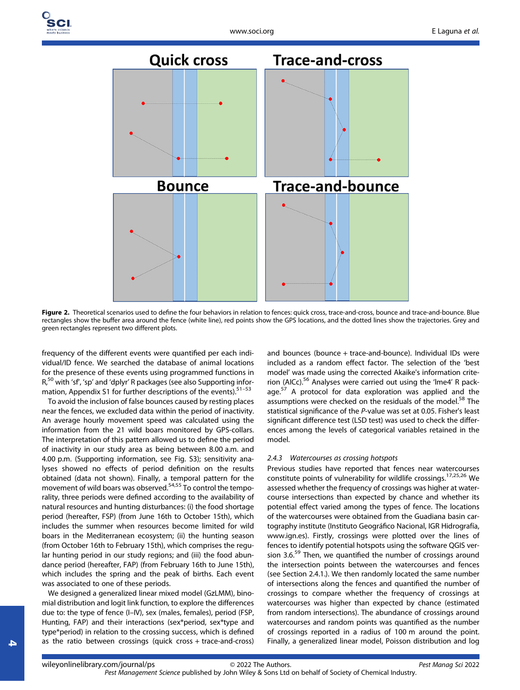

Figure 2. Theoretical scenarios used to define the four behaviors in relation to fences: quick cross, trace-and-cross, bounce and trace-and-bounce. Blue rectangles show the buffer area around the fence (white line), red points show the GPS locations, and the dotted lines show the trajectories. Grey and green rectangles represent two different plots.

frequency of the different events were quantified per each individual/ID fence. We searched the database of animal locations for the presence of these events using programmed functions in R,<sup>50</sup> with 'sf', 'sp' and 'dplyr' R packages (see also Supporting information, Appendix S1 for further descriptions of the events).<sup>51-53</sup>

To avoid the inclusion of false bounces caused by resting places near the fences, we excluded data within the period of inactivity. An average hourly movement speed was calculated using the information from the 21 wild boars monitored by GPS-collars. The interpretation of this pattern allowed us to define the period of inactivity in our study area as being between 8.00 a.m. and 4.00 p.m. (Supporting information, see Fig. S3); sensitivity analyses showed no effects of period definition on the results obtained (data not shown). Finally, a temporal pattern for the movement of wild boars was observed.54,55 To control the temporality, three periods were defined according to the availability of natural resources and hunting disturbances: (i) the food shortage period (hereafter, FSP) (from June 16th to October 15th), which includes the summer when resources become limited for wild boars in the Mediterranean ecosystem; (ii) the hunting season (from October 16th to February 15th), which comprises the regular hunting period in our study regions; and (iii) the food abundance period (hereafter, FAP) (from February 16th to June 15th), which includes the spring and the peak of births. Each event was associated to one of these periods.

We designed a generalized linear mixed model (GzLMM), binomial distribution and logit link function, to explore the differences due to: the type of fence (I–IV), sex (males, females), period (FSP, Hunting, FAP) and their interactions (sex\*period, sex\*type and type\*period) in relation to the crossing success, which is defined as the ratio between crossings (quick cross + trace-and-cross)

and bounces (bounce + trace-and-bounce). Individual IDs were included as a random effect factor. The selection of the 'best model' was made using the corrected Akaike's information criterion (AICc).<sup>56</sup> Analyses were carried out using the 'lme4' R package.<sup>57</sup> A protocol for data exploration was applied and the assumptions were checked on the residuals of the model.<sup>58</sup> The statistical significance of the P-value was set at 0.05. Fisher's least significant difference test (LSD test) was used to check the differences among the levels of categorical variables retained in the model.

#### 2.4.3 Watercourses as crossing hotspots

Previous studies have reported that fences near watercourses constitute points of vulnerability for wildlife crossings.17,25,26 We assessed whether the frequency of crossings was higher at watercourse intersections than expected by chance and whether its potential effect varied among the types of fence. The locations of the watercourses were obtained from the Guadiana basin cartography institute (Instituto Geográfico Nacional, IGR Hidrografía, [www.ign.es\)](http://www.ign.es). Firstly, crossings were plotted over the lines of fences to identify potential hotspots using the software QGIS version 3.6.<sup>59</sup> Then, we quantified the number of crossings around the intersection points between the watercourses and fences (see Section 2.4.1.). We then randomly located the same number of intersections along the fences and quantified the number of crossings to compare whether the frequency of crossings at watercourses was higher than expected by chance (estimated from random intersections). The abundance of crossings around watercourses and random points was quantified as the number of crossings reported in a radius of 100 m around the point. Finally, a generalized linear model, Poisson distribution and log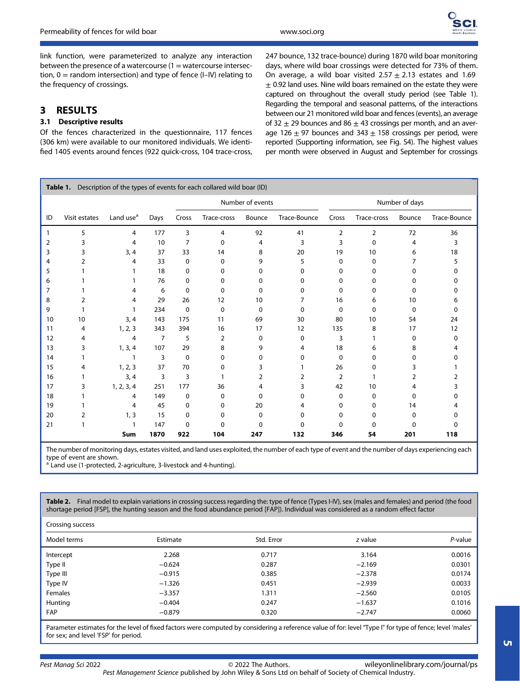

link function, were parameterized to analyze any interaction between the presence of a watercourse  $(1 = \text{watercourse intersection})$ tion,  $0 =$  random intersection) and type of fence (I–IV) relating to the frequency of crossings.

# 3 RESULTS

# 3.1 Descriptive results

Of the fences characterized in the questionnaire, 117 fences (306 km) were available to our monitored individuals. We identified 1405 events around fences (922 quick-cross, 104 trace-cross, 247 bounce, 132 trace-bounce) during 1870 wild boar monitoring days, where wild boar crossings were detected for 73% of them. On average, a wild boar visited  $2.57 \pm 2.13$  estates and 1.69  $\pm$  0.92 land uses. Nine wild boars remained on the estate they were captured on throughout the overall study period (see Table 1). Regarding the temporal and seasonal patterns, of the interactions between our 21 monitored wild boar and fences (events), an average of 32  $\pm$  29 bounces and 86  $\pm$  43 crossings per month, and an average 126  $\pm$  97 bounces and 343  $\pm$  158 crossings per period, were reported (Supporting information, see Fig. S4). The highest values per month were observed in August and September for crossings

| Description of the types of events for each collared wild boar (ID)<br>Table 1. |               |                       |      |                  |             |        |                |          |             |        |              |
|---------------------------------------------------------------------------------|---------------|-----------------------|------|------------------|-------------|--------|----------------|----------|-------------|--------|--------------|
|                                                                                 |               |                       |      | Number of events |             |        | Number of days |          |             |        |              |
| ID                                                                              | Visit estates | Land use <sup>a</sup> | Days | Cross            | Trace-cross | Bounce | Trace-Bounce   | Cross    | Trace-cross | Bounce | Trace-Bounce |
| 1                                                                               | 5             | 4                     | 177  | 3                | 4           | 92     | 41             | 2        | 2           | 72     | 36           |
| 2                                                                               | 3             | 4                     | 10   | 7                | 0           | 4      | 3              | 3        | 0           | 4      | 3            |
| 3                                                                               | 3             | 3, 4                  | 37   | 33               | 14          | 8      | 20             | 19       | 10          | 6      | 18           |
| 4                                                                               | 2             | 4                     | 33   | 0                | 0           | 9      | 5              | $\Omega$ | $\Omega$    |        | 5            |
| 5                                                                               |               |                       | 18   | 0                | 0           | 0      | 0              | 0        | 0           | 0      | 0            |
| 6                                                                               |               |                       | 76   | 0                | 0           | 0      | 0              | 0        | 0           | 0      | 0            |
| 7                                                                               |               | 4                     | 6    | 0                | 0           | 0      | 0              | 0        | 0           | 0      | 0            |
| 8                                                                               | 2             | 4                     | 29   | 26               | 12          | 10     |                | 16       | 6           | 10     | 6            |
| 9                                                                               |               |                       | 234  | 0                | 0           | 0      | $\Omega$       | 0        | 0           | 0      | 0            |
| 10                                                                              | 10            | 3, 4                  | 143  | 175              | 11          | 69     | 30             | 80       | 10          | 54     | 24           |
| 11                                                                              | 4             | 1, 2, 3               | 343  | 394              | 16          | 17     | 12             | 135      | 8           | 17     | 12           |
| 12                                                                              | 4             | 4                     | 7    | 5                | 2           | 0      | 0              | 3        |             | 0      | 0            |
| 13                                                                              | 3             | 1, 3, 4               | 107  | 29               | 8           | 9      | 4              | 18       | 6           | 8      | 4            |
| 14                                                                              |               |                       | 3    | $\mathbf 0$      | 0           | 0      | 0              | 0        | 0           | 0      | 0            |
| 15                                                                              | 4             | 1, 2, 3               | 37   | 70               | 0           | 3      |                | 26       | 0           | 3      |              |
| 16                                                                              |               | 3, 4                  | 3    | 3                |             | 2      | 2              | 2        |             | 2      | 2            |
| 17                                                                              | 3             | 1, 2, 3, 4            | 251  | 177              | 36          | 4      | 3              | 42       | 10          | 4      | 3            |
| 18                                                                              |               | 4                     | 149  | 0                | 0           | 0      | 0              | 0        | 0           | 0      | 0            |
| 19                                                                              |               | 4                     | 45   | 0                | 0           | 20     | 4              | 0        | 0           | 14     | 4            |
| 20                                                                              | 2             | 1, 3                  | 15   | 0                | 0           | 0      | $\Omega$       | $\Omega$ | 0           | 0      | 0            |
| 21                                                                              |               |                       | 147  | 0                | 0           | 0      | 0              | 0        | 0           | 0      | 0            |
|                                                                                 |               | Sum                   | 1870 | 922              | 104         | 247    | 132            | 346      | 54          | 201    | 118          |

The number of monitoring days, estates visited, and land uses exploited, the number of each type of event and the number of days experiencing each type of event are shown.

Land use (1-protected, 2-agriculture, 3-livestock and 4-hunting).

Table 2. Final model to explain variations in crossing success regarding the: type of fence (Types I-IV), sex (males and females) and period (the food shortage period [FSP], the hunting season and the food abundance period [FAP]). Individual was considered as a random effect factor

| Crossing success |          |            |          |            |  |  |
|------------------|----------|------------|----------|------------|--|--|
| Model terms      | Estimate | Std. Error | z value  | $P$ -value |  |  |
| Intercept        | 2.268    | 0.717      | 3.164    | 0.0016     |  |  |
| Type II          | $-0.624$ | 0.287      | $-2.169$ | 0.0301     |  |  |
| Type III         | $-0.915$ | 0.385      | $-2.378$ | 0.0174     |  |  |
| Type IV          | $-1.326$ | 0.451      | $-2.939$ | 0.0033     |  |  |
| Females          | $-3.357$ | 1.311      | $-2.560$ | 0.0105     |  |  |
| Hunting          | $-0.404$ | 0.247      | $-1.637$ | 0.1016     |  |  |
| <b>FAP</b>       | $-0.879$ | 0.320      | $-2.747$ | 0.0060     |  |  |
|                  |          |            |          |            |  |  |

Parameter estimates for the level of fixed factors were computed by considering a reference value of for: level 'Type I" for type of fence; level 'males' for sex; and level 'FSP' for period.

Pest Management Science published by John Wiley & Sons Ltd on behalf of Society of Chemical Industry. [wileyonlinelibrary.com/journal/ps](http://wileyonlinelibrary.com/journal/ps)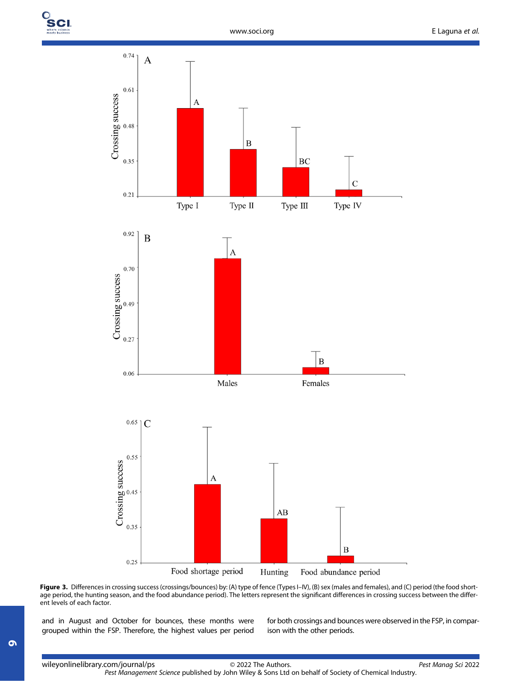

Figure 3. Differences in crossing success (crossings/bounces) by: (A) type of fence (Types I–IV), (B) sex (males and females), and (C) period (the food shortage period, the hunting season, and the food abundance period). The letters represent the significant differences in crossing success between the different levels of each factor.

and in August and October for bounces, these months were grouped within the FSP. Therefore, the highest values per period for both crossings and bounces were observed in the FSP, in comparison with the other periods.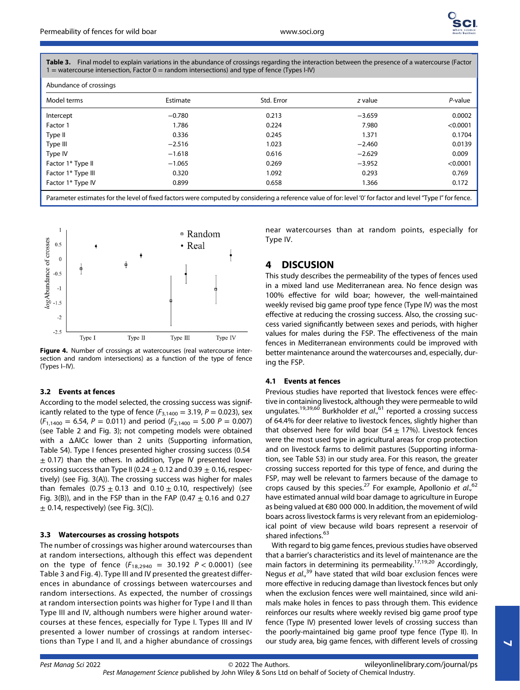

Table 3. Final model to explain variations in the abundance of crossings regarding the interaction between the presence of a watercourse (Factor  $1 =$  watercourse intersection, Factor  $0 =$  random intersections) and type of fence (Types I-IV)

| Abundance of crossings |          |            |          |          |
|------------------------|----------|------------|----------|----------|
| Model terms            | Estimate | Std. Error | z value  | P-value  |
| Intercept              | $-0.780$ | 0.213      | $-3.659$ | 0.0002   |
| Factor 1               | 1.786    | 0.224      | 7.980    | < 0.0001 |
| Type II                | 0.336    | 0.245      | 1.371    | 0.1704   |
| Type III               | $-2.516$ | 1.023      | $-2.460$ | 0.0139   |
| Type IV                | $-1.618$ | 0.616      | $-2.629$ | 0.009    |
| Factor 1* Type II      | $-1.065$ | 0.269      | $-3.952$ | < 0.0001 |
| Factor 1* Type III     | 0.320    | 1.092      | 0.293    | 0.769    |
| Factor 1* Type IV      | 0.899    | 0.658      | 1.366    | 0.172    |
|                        |          |            |          |          |

Parameter estimates for the level of fixed factors were computed by considering a reference value of for: level '0' for factor and level "Type I" for fence.



Figure 4. Number of crossings at watercourses (real watercourse intersection and random intersections) as a function of the type of fence (Types I–IV).

### 3.2 Events at fences

According to the model selected, the crossing success was significantly related to the type of fence ( $F_{3,1400} = 3.19$ ,  $P = 0.023$ ), sex  $(F_{1,1400} = 6.54, P = 0.011)$  and period  $(F_{2,1400} = 5.00 P = 0.007)$ (see Table 2 and Fig. 3); not competing models were obtained with a ΔAICc lower than 2 units (Supporting information, Table S4). Type I fences presented higher crossing success (0.54  $\pm$  0.17) than the others. In addition, Type IV presented lower crossing success than Type II (0.24  $\pm$  0.12 and 0.39  $\pm$  0.16, respectively) (see Fig. 3(A)). The crossing success was higher for males than females  $(0.75 \pm 0.13$  and  $0.10 \pm 0.10$ , respectively) (see Fig. 3(B)), and in the FSP than in the FAP (0.47  $\pm$  0.16 and 0.27  $\pm$  0.14, respectively) (see Fig. 3(C)).

#### 3.3 Watercourses as crossing hotspots

The number of crossings was higher around watercourses than at random intersections, although this effect was dependent on the type of fence  $(F_{18,2940} = 30.192 \text{ } P < 0.0001)$  (see Table 3 and Fig. 4). Type III and IV presented the greatest differences in abundance of crossings between watercourses and random intersections. As expected, the number of crossings at random intersection points was higher for Type I and II than Type III and IV, although numbers were higher around watercourses at these fences, especially for Type I. Types III and IV presented a lower number of crossings at random intersections than Type I and II, and a higher abundance of crossings near watercourses than at random points, especially for Type IV.

# 4 DISCUSION

This study describes the permeability of the types of fences used in a mixed land use Mediterranean area. No fence design was 100% effective for wild boar; however, the well-maintained weekly revised big game proof type fence (Type IV) was the most effective at reducing the crossing success. Also, the crossing success varied significantly between sexes and periods, with higher values for males during the FSP. The effectiveness of the main fences in Mediterranean environments could be improved with better maintenance around the watercourses and, especially, during the FSP.

#### 4.1 Events at fences

Previous studies have reported that livestock fences were effective in containing livestock, although they were permeable to wild ungulates.<sup>19,39,60</sup> Burkholder et al.,<sup>61</sup> reported a crossing success of 64.4% for deer relative to livestock fences, slightly higher than that observed here for wild boar  $(54 + 17%)$ . Livestock fences were the most used type in agricultural areas for crop protection and on livestock farms to delimit pastures (Supporting information, see Table S3) in our study area. For this reason, the greater crossing success reported for this type of fence, and during the FSP, may well be relevant to farmers because of the damage to crops caused by this species.<sup>27</sup> For example, Apollonio et  $al$ ,  $62$ have estimated annual wild boar damage to agriculture in Europe as being valued at €80 000 000. In addition, the movement of wild boars across livestock farms is very relevant from an epidemiological point of view because wild boars represent a reservoir of shared infections.<sup>63</sup>

With regard to big game fences, previous studies have observed that a barrier's characteristics and its level of maintenance are the main factors in determining its permeability.<sup>17,19,20</sup> Accordingly, Negus et al.,<sup>39</sup> have stated that wild boar exclusion fences were more effective in reducing damage than livestock fences but only when the exclusion fences were well maintained, since wild animals make holes in fences to pass through them. This evidence reinforces our results where weekly revised big game proof type fence (Type IV) presented lower levels of crossing success than the poorly-maintained big game proof type fence (Type II). In our study area, big game fences, with different levels of crossing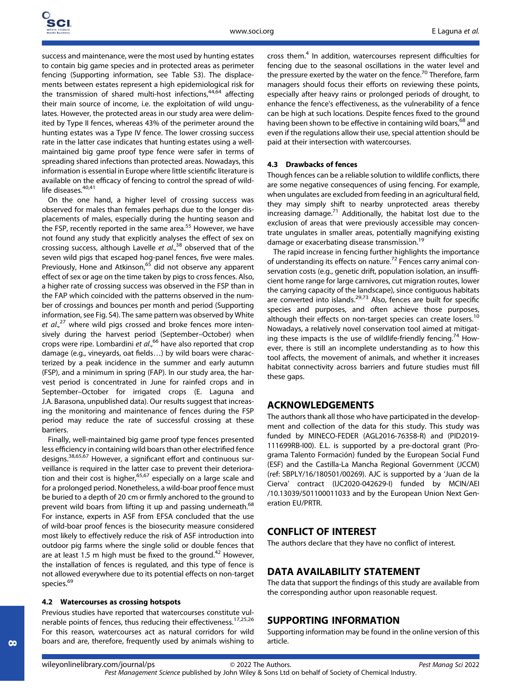success and maintenance, were the most used by hunting estates to contain big game species and in protected areas as perimeter fencing (Supporting information, see Table S3). The displacements between estates represent a high epidemiological risk for the transmission of shared multi-host infections,  $44,64$  affecting their main source of income, i.e. the exploitation of wild ungulates. However, the protected areas in our study area were delimited by Type II fences, whereas 43% of the perimeter around the hunting estates was a Type IV fence. The lower crossing success rate in the latter case indicates that hunting estates using a wellmaintained big game proof type fence were safer in terms of spreading shared infections than protected areas. Nowadays, this information is essential in Europe where little scientific literature is available on the efficacy of fencing to control the spread of wildlife diseases.<sup>40,41</sup>

On the one hand, a higher level of crossing success was observed for males than females perhaps due to the longer displacements of males, especially during the hunting season and the FSP, recently reported in the same area.<sup>55</sup> However, we have not found any study that explicitly analyses the effect of sex on crossing success, although Lavelle et  $al.,$ <sup>38</sup> observed that of the seven wild pigs that escaped hog-panel fences, five were males. Previously, Hone and Atkinson,<sup>65</sup> did not observe any apparent effect of sex or age on the time taken by pigs to cross fences. Also, a higher rate of crossing success was observed in the FSP than in the FAP which coincided with the patterns observed in the number of crossings and bounces per month and period (Supporting information, see Fig. S4). The same pattern was observed by White et al.,<sup>27</sup> where wild pigs crossed and broke fences more intensively during the harvest period (September–October) when crops were ripe. Lombardini et al.,<sup>66</sup> have also reported that crop damage (e.g., vineyards, oat fields…) by wild boars were characterized by a peak incidence in the summer and early autumn (FSP), and a minimum in spring (FAP). In our study area, the harvest period is concentrated in June for rainfed crops and in September–October for irrigated crops (E. Laguna and J.A. Barasona, unpublished data). Our results suggest that increasing the monitoring and maintenance of fences during the FSP period may reduce the rate of successful crossing at these barriers.

Finally, well-maintained big game proof type fences presented less efficiency in containing wild boars than other electrified fence designs.38,65,67 However, a significant effort and continuous surveillance is required in the latter case to prevent their deterioration and their cost is higher, $65,67$  especially on a large scale and for a prolonged period. Nonetheless, a wild-boar proof fence must be buried to a depth of 20 cm or firmly anchored to the ground to prevent wild boars from lifting it up and passing underneath.<sup>68</sup> For instance, experts in ASF from EFSA concluded that the use of wild-boar proof fences is the biosecurity measure considered most likely to effectively reduce the risk of ASF introduction into outdoor pig farms where the single solid or double fences that are at least 1.5 m high must be fixed to the ground. $42$  However, the installation of fences is regulated, and this type of fence is not allowed everywhere due to its potential effects on non-target species.<sup>69</sup>

#### 4.2 Watercourses as crossing hotspots

Previous studies have reported that watercourses constitute vulnerable points of fences, thus reducing their effectiveness.<sup>17,25,26</sup> For this reason, watercourses act as natural corridors for wild boars and are, therefore, frequently used by animals wishing to cross them.<sup>4</sup> In addition, watercourses represent difficulties for fencing due to the seasonal oscillations in the water level and the pressure exerted by the water on the fence.<sup>70</sup> Therefore, farm managers should focus their efforts on reviewing these points, especially after heavy rains or prolonged periods of drought, to enhance the fence's effectiveness, as the vulnerability of a fence can be high at such locations. Despite fences fixed to the ground having been shown to be effective in containing wild boars, 68 and even if the regulations allow their use, special attention should be paid at their intersection with watercourses.

#### 4.3 Drawbacks of fences

Though fences can be a reliable solution to wildlife conflicts, there are some negative consequences of using fencing. For example, when ungulates are excluded from feeding in an agricultural field, they may simply shift to nearby unprotected areas thereby increasing damage.<sup>71</sup> Additionally, the habitat lost due to the exclusion of areas that were previously accessible may concentrate ungulates in smaller areas, potentially magnifying existing damage or exacerbating disease transmission.<sup>19</sup>

The rapid increase in fencing further highlights the importance of understanding its effects on nature.<sup>72</sup> Fences carry animal conservation costs (e.g., genetic drift, population isolation, an insufficient home range for large carnivores, cut migration routes, lower the carrying capacity of the landscape), since contiguous habitats are converted into islands.<sup>29,73</sup> Also, fences are built for specific species and purposes, and often achieve those purposes, although their effects on non-target species can create losers.<sup>10</sup> Nowadays, a relatively novel conservation tool aimed at mitigating these impacts is the use of wildlife-friendly fencing.<sup>74</sup> However, there is still an incomplete understanding as to how this tool affects, the movement of animals, and whether it increases habitat connectivity across barriers and future studies must fill these gaps.

## ACKNOWLEDGEMENTS

The authors thank all those who have participated in the development and collection of the data for this study. This study was funded by MINECO-FEDER (AGL2016-76358-R) and (PID2019- 111699RB-I00). E.L. is supported by a pre-doctoral grant (Programa Talento Formación) funded by the European Social Fund (ESF) and the Castilla-La Mancha Regional Government (JCCM) (ref: SBPLY/16/180501/00269). AJC is supported by a 'Juan de la Cierva' contract (IJC2020-042629-I) funded by MCIN/AEI /10.13039/501100011033 and by the European Union Next Generation EU/PRTR.

# CONFLICT OF INTEREST

The authors declare that they have no conflict of interest.

# DATA AVAILABILITY STATEMENT

The data that support the findings of this study are available from the corresponding author upon reasonable request.

## SUPPORTING INFORMATION

Supporting information may be found in the online version of this article.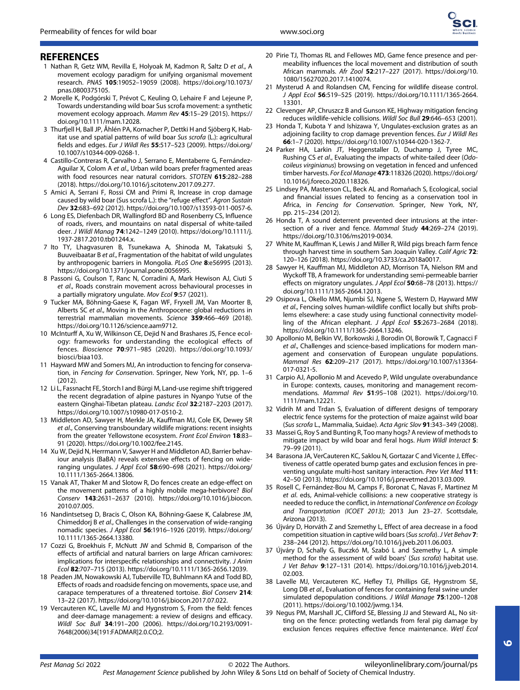

### **REFERENCES**

- 1 Nathan R, Getz WM, Revilla E, Holyoak M, Kadmon R, Saltz D et al., A movement ecology paradigm for unifying organismal movement research. PNAS 105:19052–19059 (2008). [https://doi.org/10.1073/](https://doi.org/10.1073/pnas.0800375105) [pnas.0800375105](https://doi.org/10.1073/pnas.0800375105).
- 2 Morelle K, Podgórski T, Prévot C, Keuling O, Lehaire F and Lejeune P, Towards understanding wild boar Sus scrofa movement: a synthetic movement ecology approach. Mamm Rev 45:15–29 (2015). [https://](https://doi.org/10.1111/mam.12028) [doi.org/10.1111/mam.12028.](https://doi.org/10.1111/mam.12028)
- 3 Thurfjell H, Ball JP, Åhlén PA, Kornacher P, Dettki H and Sjöberg K, Habitat use and spatial patterns of wild boar Sus scrofa (L.): agricultural fields and edges. Eur J Wildl Res 55:517–523 (2009). [https://doi.org/](https://doi.org/10.1007/s10344-009-0268-1) [10.1007/s10344-009-0268-1.](https://doi.org/10.1007/s10344-009-0268-1)
- 4 Castillo-Contreras R, Carvalho J, Serrano E, Mentaberre G, Fernández-Aguilar X, Colom A et al., Urban wild boars prefer fragmented areas with food resources near natural corridors. STOTEN 615:282–288 (2018).<https://doi.org/10.1016/j.scitotenv.2017.09.277>.
- 5 Amici A, Serrani F, Rossi CM and Primi R, Increase in crop damage caused by wild boar (Sus scrofa L.): the "refuge effect". Agron Sustain Dev 32:683–692 (2012).<https://doi.org/10.1007/s13593-011-0057-6>.
- 6 Long ES, Diefenbach DR, Wallingford BD and Rosenberry CS, Influence of roads, rivers, and mountains on natal dispersal of white-tailed deer. J Wildl Manag 74:1242–1249 (2010). [https://doi.org/10.1111/j.](https://doi.org/10.1111/j.1937-2817.2010.tb01244.x) [1937-2817.2010.tb01244.x](https://doi.org/10.1111/j.1937-2817.2010.tb01244.x).
- 7 Ito TY, Lhagvasuren B, Tsunekawa A, Shinoda M, Takatsuki S, Buuveibaatar B et al., Fragmentation of the habitat of wild ungulates by anthropogenic barriers in Mongolia. PLoS One 8:e56995 (2013). [https://doi.org/10.1371/journal.pone.0056995.](https://doi.org/10.1371/journal.pone.0056995)
- 8 Passoni G, Coulson T, Ranc N, Corradini A, Mark Hewison AJ, Ciuti S et al., Roads constrain movement across behavioural processes in a partially migratory ungulate. Mov Ecol 9:57 (2021).
- 9 Tucker MA, Böhning-Gaese K, Fagan WF, Fryxell JM, Van Moorter B, Alberts SC et al., Moving in the Anthropocene: global reductions in terrestrial mammalian movements. Science 359:466–469 (2018). [https://doi.org/10.1126/science.aam9712.](https://doi.org/10.1126/science.aam9712)
- 10 McInturff A, Xu W, Wilkinson CE, Dejid N and Brashares JS, Fence ecology: frameworks for understanding the ecological effects of fences. Bioscience 70:971–985 (2020). [https://doi.org/10.1093/](https://doi.org/10.1093/biosci/biaa103) [biosci/biaa103](https://doi.org/10.1093/biosci/biaa103).
- 11 Hayward MW and Somers MJ, An introduction to fencing for conservation, in Fencing for Conservation. Springer, New York, NY, pp. 1–6 (2012).
- 12 Li L, Fassnacht FE, Storch I and Bürgi M, Land-use regime shift triggered the recent degradation of alpine pastures in Nyanpo Yutse of the eastern Qinghai-Tibetan plateau. Landsc Ecol 32:2187–2203 (2017). <https://doi.org/10.1007/s10980-017-0510-2>.
- 13 Middleton AD, Sawyer H, Merkle JA, Kauffman MJ, Cole EK, Dewey SR et al., Conserving transboundary wildlife migrations: recent insights from the greater Yellowstone ecosystem. Front Ecol Environ 18:83– 91 (2020). [https://doi.org/10.1002/fee.2145.](https://doi.org/10.1002/fee.2145)
- 14 Xu W, Dejid N, Herrmann V, Sawyer H and Middleton AD, Barrier behaviour analysis (BaBA) reveals extensive effects of fencing on wideranging ungulates. J Appl Ecol 58:690–698 (2021). [https://doi.org/](https://doi.org/10.1111/1365-2664.13806) [10.1111/1365-2664.13806.](https://doi.org/10.1111/1365-2664.13806)
- 15 Vanak AT, Thaker M and Slotow R, Do fences create an edge-effect on the movement patterns of a highly mobile mega-herbivore? Biol Conserv 143:2631–2637 (2010). [https://doi.org/10.1016/j.biocon.](https://doi.org/10.1016/j.biocon.2010.07.005) [2010.07.005.](https://doi.org/10.1016/j.biocon.2010.07.005)
- 16 Nandintsetseg D, Bracis C, Olson KA, Böhning-Gaese K, Calabrese JM, Chimeddorj B et al., Challenges in the conservation of wide-ranging nomadic species. J Appl Ecol 56:1916–1926 (2019). [https://doi.org/](https://doi.org/10.1111/1365-2664.13380) [10.1111/1365-2664.13380.](https://doi.org/10.1111/1365-2664.13380)
- 17 Cozzi G, Broekhuis F, McNutt JW and Schmid B, Comparison of the effects of artificial and natural barriers on large African carnivores: implications for interspecific relationships and connectivity. J Anim Ecol 82:707–715 (2013).<https://doi.org/10.1111/1365-2656.12039>.
- 18 Peaden JM, Nowakowski AJ, Tuberville TD, Buhlmann KA and Todd BD, Effects of roads and roadside fencing on movements, space use, and carapace temperatures of a threatened tortoise. Biol Conserv 214: 13–22 (2017).<https://doi.org/10.1016/j.biocon.2017.07.022>.
- 19 Vercauteren KC, Lavelle MJ and Hygnstrom S, From the field: fences and deer-damage management: a review of designs and efficacy. Wildl Soc Bull 34:191–200 (2006). [https://doi.org/10.2193/0091-](https://doi.org/10.2193/0091-7648(2006)34%5B191:FADMAR%5D2.0.CO;2) [7648\(2006\)34\[191:FADMAR\]2.0.CO;2.](https://doi.org/10.2193/0091-7648(2006)34%5B191:FADMAR%5D2.0.CO;2)
- 20 Pirie TJ, Thomas RL and Fellowes MD, Game fence presence and permeability influences the local movement and distribution of south African mammals. Afr Zool 52:217–227 (2017). [https://doi.org/10.](https://doi.org/10.1080/15627020.2017.1410074) [1080/15627020.2017.1410074.](https://doi.org/10.1080/15627020.2017.1410074)
- 21 Mysterud A and Rolandsen CM, Fencing for wildlife disease control. J Appl Ecol 56:519–525 (2019). [https://doi.org/10.1111/1365-2664.](https://doi.org/10.1111/1365-2664.13301) [13301.](https://doi.org/10.1111/1365-2664.13301)
- 22 Clevenger AP, Chruszcz B and Gunson KE, Highway mitigation fencing reduces wildlife-vehicle collisions. Wildl Soc Bull 29:646–653 (2001).
- 23 Honda T, Kubota Y and Ishizawa Y, Ungulates-exclusion grates as an adjoining facility to crop damage prevention fences. Eur J Wildl Res 66:1–7 (2020). [https://doi.org/10.1007/s10344-020-1362-7.](https://doi.org/10.1007/s10344-020-1362-7)
- 24 Parker HA, Larkin JT, Heggenstaller D, Duchamp J, Tyree MC, Rushing CS et al., Evaluating the impacts of white-tailed deer (Odocoileus virginianus) browsing on vegetation in fenced and unfenced timber harvests. For Ecol Manage 473:118326 (2020). [https://doi.org/](https://doi.org/10.1016/j.foreco.2020.118326) [10.1016/j.foreco.2020.118326](https://doi.org/10.1016/j.foreco.2020.118326).
- 25 Lindsey PA, Masterson CL, Beck AL and Romañach S, Ecological, social and financial issues related to fencing as a conservation tool in Africa, in Fencing for Conservation. Springer, New York, NY, pp. 215–234 (2012).
- 26 Honda T, A sound deterrent prevented deer intrusions at the intersection of a river and fence. Mammal Study 44:269-274 (2019). [https://doi.org/10.3106/ms2019-0034.](https://doi.org/10.3106/ms2019-0034)
- 27 White M, Kauffman K, Lewis J and Miller R, Wild pigs breach farm fence through harvest time in southern San Joaquin Valley. Calif Agric 72: 120–126 (2018).<https://doi.org/10.3733/ca.2018a0017>.
- 28 Sawyer H, Kauffman MJ, Middleton AD, Morrison TA, Nielson RM and Wyckoff TB, A framework for understanding semi-permeable barrier effects on migratory ungulates. J Appl Ecol 50:68–78 (2013). [https://](https://doi.org/10.1111/1365-2664.12013) [doi.org/10.1111/1365-2664.12013](https://doi.org/10.1111/1365-2664.12013).
- 29 Osipova L, Okello MM, Njumbi SJ, Ngene S, Western D, Hayward MW et al., Fencing solves human-wildlife conflict locally but shifts problems elsewhere: a case study using functional connectivity modelling of the African elephant. J Appl Ecol 55:2673-2684 (2018). <https://doi.org/10.1111/1365-2664.13246>.
- 30 Apollonio M, Belkin VV, Borkowski J, Borodin OI, Borowik T, Cagnacci F et al., Challenges and science-based implications for modern management and conservation of European ungulate populations. Mammal Res 62:209–217 (2017). [https://doi.org/10.1007/s13364-](https://doi.org/10.1007/s13364-017-0321-5) [017-0321-5.](https://doi.org/10.1007/s13364-017-0321-5)
- 31 Carpio AJ, Apollonio M and Acevedo P, Wild ungulate overabundance in Europe: contexts, causes, monitoring and management recommendations. Mammal Rev 51:95–108 (2021). [https://doi.org/10.](https://doi.org/10.1111/mam.12221) [1111/mam.12221](https://doi.org/10.1111/mam.12221).
- 32 Vidrih M and Trdan S, Evaluation of different designs of temporary electric fence systems for the protection of maize against wild boar (Sus scrofa L., Mammalia, Suidae). Acta Agric Slov 91:343–349 (2008).
- 33 Massei G, Roy S and Bunting R, Too many hogs? A review of methods to mitigate impact by wild boar and feral hogs. Hum Wildl Interact 5: 79–99 (2011).
- 34 Barasona JA, VerCauteren KC, Saklou N, Gortazar C and Vicente J, Effectiveness of cattle operated bump gates and exclusion fences in preventing ungulate multi-host sanitary interaction. Prev Vet Med 111: 42–50 (2013).<https://doi.org/10.1016/j.prevetmed.2013.03.009>.
- 35 Rosell C, Fernández-Bou M, Camps F, Boronat C, Navas F, Martinez M et al. eds, Animal-vehicle collisions: a new cooperative strategy is needed to reduce the conflict, in International Conference on Ecology and Transportation (ICOET 2013); 2013 Jun 23–27. Scottsdale, Arizona (2013).
- 36 Újváry D, Horváth Z and Szemethy L, Effect of area decrease in a food competition situation in captive wild boars (Sus scrofa). J Vet Behav 7: 238–244 (2012).<https://doi.org/10.1016/j.jveb.2011.06.003>.
- 37 Újváry D, Schally G, Buczkó M, Szabó L and Szemethy L, A simple method for the assessment of wild boars' (Sus scrofa) habitat use. J Vet Behav 9:127–131 (2014). [https://doi.org/10.1016/j.jveb.2014.](https://doi.org/10.1016/j.jveb.2014.02.003) [02.003](https://doi.org/10.1016/j.jveb.2014.02.003).
- 38 Lavelle MJ, Vercauteren KC, Hefley TJ, Phillips GE, Hygnstrom SE, Long DB et al., Evaluation of fences for containing feral swine under simulated depopulation conditions. J Wildl Manage 75:1200–1208 (2011).<https://doi.org/10.1002/jwmg.134>.
- 39 Negus PM, Marshall JC, Clifford SE, Blessing JJ and Steward AL, No sitting on the fence: protecting wetlands from feral pig damage by exclusion fences requires effective fence maintenance. Wetl Ecol